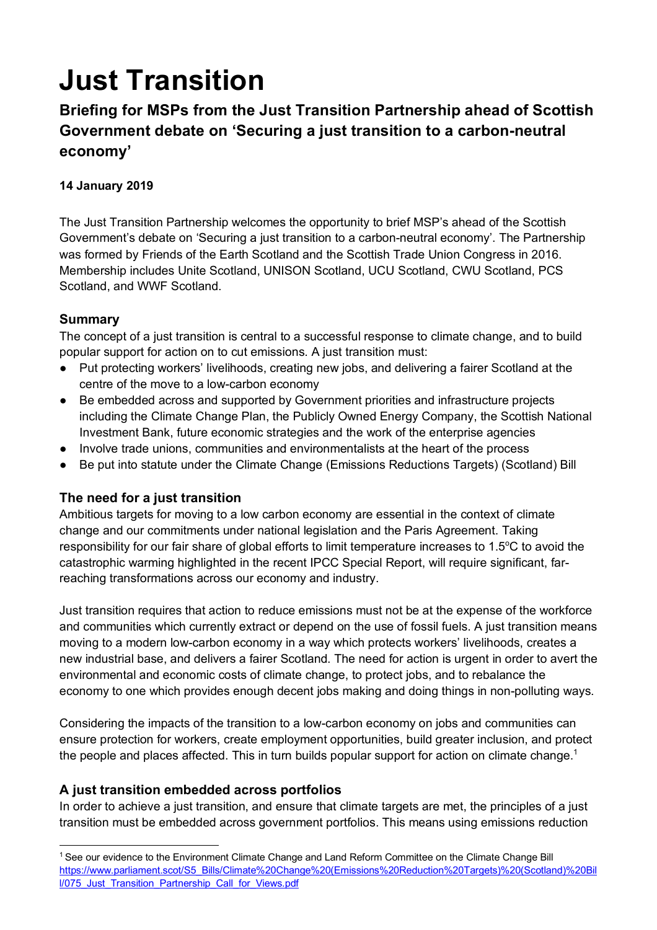# **Just Transition**

**Briefing for MSPs from the Just Transition Partnership ahead of Scottish Government debate on 'Securing a just transition to a carbon-neutral economy'**

# **14 January 2019**

The Just Transition Partnership welcomes the opportunity to brief MSP's ahead of the Scottish Government's debate on 'Securing a just transition to a carbon-neutral economy'. The Partnership was formed by Friends of the Earth Scotland and the Scottish Trade Union Congress in 2016. Membership includes Unite Scotland, UNISON Scotland, UCU Scotland, CWU Scotland, PCS Scotland, and WWF Scotland.

### **Summary**

The concept of a just transition is central to a successful response to climate change, and to build popular support for action on to cut emissions. A just transition must:

- Put protecting workers' livelihoods, creating new jobs, and delivering a fairer Scotland at the centre of the move to a low-carbon economy
- Be embedded across and supported by Government priorities and infrastructure projects including the Climate Change Plan, the Publicly Owned Energy Company, the Scottish National Investment Bank, future economic strategies and the work of the enterprise agencies
- Involve trade unions, communities and environmentalists at the heart of the process
- Be put into statute under the Climate Change (Emissions Reductions Targets) (Scotland) Bill

### **The need for a just transition**

Ambitious targets for moving to a low carbon economy are essential in the context of climate change and our commitments under national legislation and the Paris Agreement. Taking responsibility for our fair share of global efforts to limit temperature increases to 1.5°C to avoid the catastrophic warming highlighted in the recent IPCC Special Report, will require significant, farreaching transformations across our economy and industry.

Just transition requires that action to reduce emissions must not be at the expense of the workforce and communities which currently extract or depend on the use of fossil fuels. A just transition means moving to a modern low-carbon economy in a way which protects workers' livelihoods, creates a new industrial base, and delivers a fairer Scotland. The need for action is urgent in order to avert the environmental and economic costs of climate change, to protect jobs, and to rebalance the economy to one which provides enough decent jobs making and doing things in non-polluting ways.

Considering the impacts of the transition to a low-carbon economy on jobs and communities can ensure protection for workers, create employment opportunities, build greater inclusion, and protect the people and places affected. This in turn builds popular support for action on climate change.<sup>1</sup>

### **A just transition embedded across portfolios**

In order to achieve a just transition, and ensure that climate targets are met, the principles of a just transition must be embedded across government portfolios. This means using emissions reduction

<sup>&</sup>lt;sup>1</sup> See our evidence to the Environment Climate Change and Land Reform Committee on the Climate Change Bill https://www.parliament.scot/S5\_Bills/Climate%20Change%20(Emissions%20Reduction%20Targets)%20(Scotland)%20Bil l/075\_Just\_Transition\_Partnership\_Call\_for\_Views.pdf